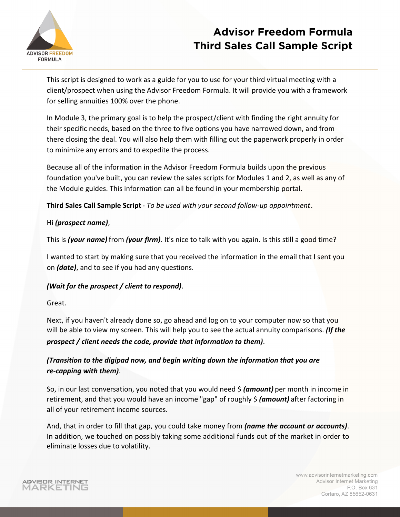

This script is designed to work as a guide for you to use for your third virtual meeting with a client/prospect when using the Advisor Freedom Formula. It will provide you with a framework for selling annuities 100% over the phone.

In Module 3, the primary goal is to help the prospect/client with finding the right annuity for their specific needs, based on the three to five options you have narrowed down, and from there closing the deal. You will also help them with filling out the paperwork properly in order to minimize any errors and to expedite the process.

Because all of the information in the Advisor Freedom Formula builds upon the previous foundation you've built, you can review the sales scripts for Modules 1 and 2, as well as any of the Module guides. This information can all be found in your membership portal.

**Third Sales Call Sample Script** - *To be used with your second follow-up appointment*.

#### Hi *(prospect name)* ,

This is *(your name)* from *(your firm)* . It's nice to talk with you again. Is this still a good time?

I wanted to start by making sure that you received the information in the email that I sent you on *(date)* , and to see if you had any questions.

#### *(Wait for the prospect / client to respond)* .

Great.

Next, if you haven't already done so, go ahead and log on to your computer now so that you will be able to view my screen. This will help you to see the actual annuity comparisons. *(If the prospect / client needs the code, provide that information to them)* .

*(Transition to the digipad now, and begin writing down the information that you are re-capping with them)* .

So, in our last conversation, you noted that you would need \$ *(amount)* per month in income in retirement, and that you would have an income "gap" of roughly \$ (amount) after factoring in all of your retirement income sources.

And, that in order to fill that gap, you could take money from *(name the account or accounts)* . In addition, we touched on possibly taking some additional funds out of the market in order to eliminate losses due to volatility.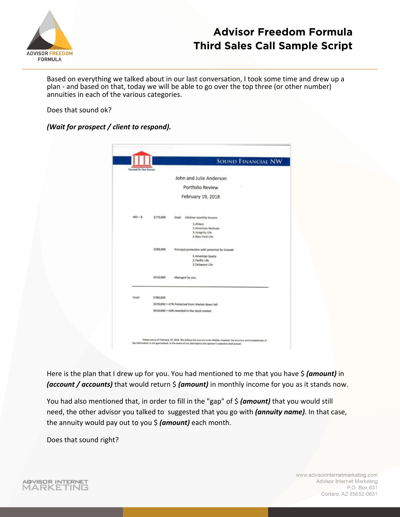

Based on everything we talked about in our last conversation, I took some time and drew up a plan - and based on that, today we will be able to go over the top three (or other number) annuities in each of the various categories.

#### Does that sound ok?

#### *(Wait for prospect / client to respond).*

|                         |           | <b>SOUND FINANCIAL NW</b>                                                   |
|-------------------------|-----------|-----------------------------------------------------------------------------|
| Facused On Haur Success |           |                                                                             |
|                         |           | John and Julie Anderson                                                     |
|                         |           | Portfolio Review                                                            |
|                         |           | February 19, 2018                                                           |
| $403 - 8$               | \$170,000 | Lifetime monthly income<br>Goal:                                            |
|                         |           | 1. Allianz<br>2. American National<br>3. Integrity Life<br>4. New York Life |
|                         | \$200,000 | Principal protection with potential for Growth                              |
|                         |           | 1. American Equity<br>2. Pacific Life<br>3. Delaware Life                   |
|                         | \$410,000 | Managed by you.                                                             |
| Total                   | \$780,000 |                                                                             |
|                         |           | \$370,000 = 47% Protected from Market down fall.                            |
|                         |           | \$410,000 = 53% Invested in the stock market                                |

Here is the plan that I drew up for you. You had mentioned to me that you have \$ *(amount)* in *(account / accounts)* that would return  $\frac{2}{3}$  *(amount)* in monthly income for you as it stands now.

You had also mentioned that, in order to fill in the "gap" of  $\oint$  (amount) that you would still need, the other advisor you talked to suggested that you go with *(annuity name)*. In that case, the annuity would pay out to you \$ *(amount)* each month.

Does that sound right?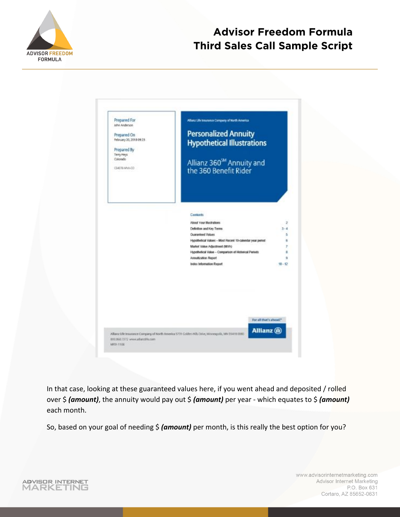

ü

| Prepared For<br>John Anderson<br>Prepared On<br>February 20, 2018 09:23<br>Prepared By<br>Terry Heys<br>Colorado<br>E\$4370-MVA-CO | Allianz Life Insurance Company of North America.<br><b>Personalized Annuity</b><br><b>Hypothetical Illustrations</b><br>Allianz 360 <sup>5M</sup> Annuity and<br>the 360 Benefit Rider                                                                                                                                 |
|------------------------------------------------------------------------------------------------------------------------------------|------------------------------------------------------------------------------------------------------------------------------------------------------------------------------------------------------------------------------------------------------------------------------------------------------------------------|
|                                                                                                                                    | Contents<br>About Your Illustrations<br>Definition and Key Terms<br>$3 - 4$<br>Guaranteed Values<br>Hypothetical Values - Most Recent 10-calendar year pened<br>Market Value Adjustment (MVA)<br>Hypothetical Value - Comparison of Historical Periods<br>Annultzation Report<br>Index Information Report<br>$10 - 12$ |
| 800,950.7372 www.allanzlife.com                                                                                                    | For all that's aboad."<br>Allianz (II)<br>Allianz Life Insurance Company of North America 5701 Golden Hills Drive, Mayreapolis, MN 55418-0080.                                                                                                                                                                         |

In that case, looking at these guaranteed values here, if you went ahead and deposited / rolled over \$ *(amount)*, the annuity would pay out \$ *(amount)* per year - which equates to \$ *(amount)*  each month.

So, based on your goal of needing \$ *(amount)* per month, is this really the best option for you?

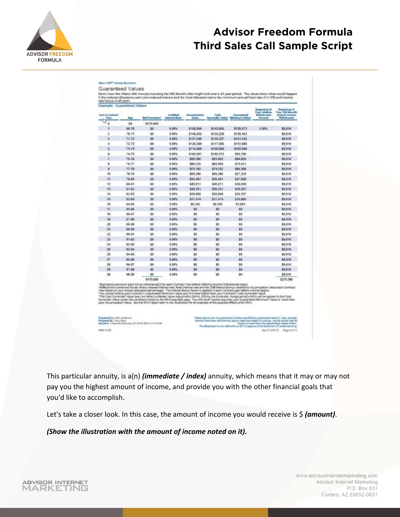

| Example: Guaranteed Values<br>End of Contrast<br>Teal | Age       | <b>Net Presidents</b> | Craditoid<br><b>Internal Rate</b> | Accumulation<br><b>Value</b> | Cash<br>Surveyder Waker" Minimum Value/ | Guaranteed | <b>Registrary of</b><br><b>Tear Lifetane</b><br><b>Mit Chulk areas</b><br>Postant | <b>Engineering of</b><br>Your 260 December<br><b>Annual Income</b><br>With disease |
|-------------------------------------------------------|-----------|-----------------------|-----------------------------------|------------------------------|-----------------------------------------|------------|-----------------------------------------------------------------------------------|------------------------------------------------------------------------------------|
| ö                                                     | 63        | \$570,000             |                                   |                              |                                         |            |                                                                                   |                                                                                    |
| ۹                                                     | 65-70     | 50                    | 0.00%                             | \$158,958                    | \$143,055                               | \$139,572  | 5.30%                                                                             | \$5,010                                                                            |
| ž                                                     | 76.71     | 30                    | 0.00%                             | \$148,033                    | \$133,229                               | \$130,403  |                                                                                   | \$5,010                                                                            |
| s.                                                    | 71.72     | \$6                   | 4.00%                             | \$137,246                    | \$126,237                               | \$121,242  |                                                                                   | \$9.010                                                                            |
| ä                                                     | 72-73     | 10                    | 0.00%                             | \$126,589                    | \$117,096                               | \$112,008  |                                                                                   | \$9,010                                                                            |
| s                                                     | 73-74     | 30                    | 8.00%                             | \$116,098                    | \$108,006                               | \$102,540  |                                                                                   | \$5,010                                                                            |
| ¢                                                     | 74.75     | 50                    | 0.80%                             | \$185,657                    | \$100.375                               | \$93,795   |                                                                                   | \$5,010                                                                            |
| T)                                                    | 75-76     | 50                    | 0.00%                             | \$95,380                     | 551, 883                                | 584, 653   |                                                                                   | 55,010                                                                             |
| ۵                                                     | $76 - 77$ | 50                    | 0.00%                             | \$85,225                     | \$83,054                                | 575.581    |                                                                                   | \$5,010                                                                            |
| s                                                     | $77 - 78$ | 50                    | 0.00%                             | 575.992                      | \$74,252                                | 566,355    |                                                                                   | \$9,010                                                                            |
| 10                                                    | $78-79$   | 50                    | 0.00%                             | \$85,280                     | \$65,200                                | \$57,224   |                                                                                   | \$5.010                                                                            |
| m                                                     | T9-80     | \$0                   | 0.00%                             | \$55,487                     | \$55.487                                | \$47,908   |                                                                                   | 38,010                                                                             |
| 12                                                    | 80.81     | 50                    | 5.00%                             | 545,811                      | \$45,811                                | 538,618    |                                                                                   | <b>35 010</b>                                                                      |
| 13                                                    | 81.82     | 50                    | 0.00%                             | \$38,251                     | \$36,251                                | \$29,351   |                                                                                   | 35.010                                                                             |
| 14                                                    | 82-83     | \$0                   | 8.90%                             | \$26,806                     | \$36,806                                | \$20,907   |                                                                                   | \$9,010                                                                            |
| 95                                                    | 83-84     | 50                    | 6.00%                             | \$17,474                     | \$17,474                                | \$10,885   |                                                                                   | \$9,010                                                                            |
| 15                                                    | 84-85     | 58                    | 0.00%                             | \$8,755                      | \$8,255                                 | \$1,683    |                                                                                   | \$9,010                                                                            |
| 37                                                    | 35.36     | \$0                   | 0.10%                             | 50                           | 50                                      | 53         |                                                                                   | \$5,010                                                                            |
| 15                                                    | 86-87     | \$0                   | 0.00%                             | 50                           | 50                                      | 53         |                                                                                   | \$5,016                                                                            |
| 19                                                    | \$7.38    | 30                    | 0.00%                             | \$0                          | \$0                                     | 52         |                                                                                   | \$5,010                                                                            |
| 39                                                    | 38.89     | \$0                   | 0.00%                             | \$0                          | \$0                                     | 15         |                                                                                   | \$9,010                                                                            |
| 21                                                    | \$9.90    | \$0                   | 4.00%                             | \$0                          | \$0                                     | 12         |                                                                                   | \$9,010                                                                            |
| 22                                                    | 90.91     | 10                    | 0.00%                             | \$0.                         | 10                                      | 12         |                                                                                   | \$9,010                                                                            |
| 23                                                    | $91-52$   | 50                    | 0.00%                             | 50                           | 50                                      | 33         |                                                                                   | \$5,010                                                                            |
| 24                                                    | 92-93     | 50                    | 0.00%                             | \$0                          | 50                                      | \$3        |                                                                                   | \$9.010                                                                            |
| 25                                                    | 93-94     | \$0                   | 0.00%                             | 50                           | \$0                                     | 33         |                                                                                   | \$9,010                                                                            |
| 26                                                    | $94 - 35$ | 50                    | 0.00%                             | 50                           | 50                                      | 53         |                                                                                   | \$5,010                                                                            |
| 27                                                    | 96-96     | 30                    | 0.00%                             | \$0                          | 50                                      | 33         |                                                                                   | \$9,010                                                                            |
| 28                                                    | 96.57     | \$0                   | 4.00%                             | 10                           | \$0                                     | 15         |                                                                                   | \$9.910                                                                            |
| 29                                                    | 97.58     | \$6                   | 4.00%                             | 30                           | \$6                                     | 13         |                                                                                   | \$9,010                                                                            |
| 30                                                    | 90-99     | <sup>ph</sup>         | 0.00%                             | 30                           | 50                                      | 13         |                                                                                   | \$9.910                                                                            |
|                                                       |           | \$170,000             |                                   |                              |                                         |            |                                                                                   | \$270,300                                                                          |

Pregamed Fox John Anderson<br>Pregamed By: Temp Heys<br>Issued In: Catenatic February 20 2018; OR21; 5.3-42.68 MISCISSI

Allers 300<sup>m</sup> Annuly Bustation

where chosen are not parameter (arises coeffied as guaranteed value)<br>around fixed rates, and arrivity payons rate samples to charge Acts.<br>This Mustasion is not within distinguishing the Statement of<br>This Mustasion is not Rev(15/2017) Page 5 of 12

This particular annuity, is a(n) *(immediate / index)* annuity, which means that it may or may not pay you the highest amount of income, and provide you with the other financial goals that you'd like to accomplish.

Let's take a closer look. In this case, the amount of income you would receive is \$ (amount).

*(Show the illustration with the amount of income noted on it).*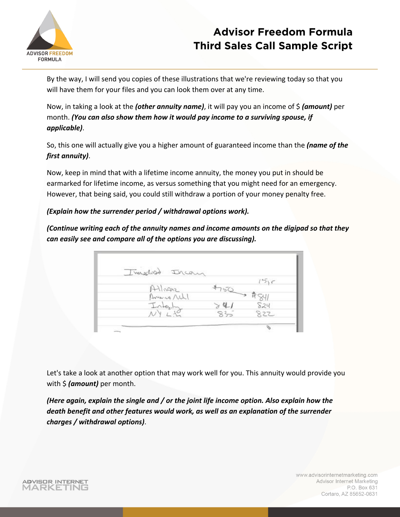

By the way, I will send you copies of these illustrations that we're reviewing today so that you will have them for your files and you can look them over at any time.

Now, in taking a look at the *(other annuity name)*, it will pay you an income of \$ *(amount)* per month. *(You can also show them how it would pay income to a surviving spouse, if applicable)*.

So, this one will actually give you a higher amount of guaranteed income than the *(name of the first annuity)*.

Now, keep in mind that with a lifetime income annuity, the money you put in should be earmarked for lifetime income, as versus something that you might need for an emergency. However, that being said, you could still withdraw a portion of your money penalty free.

### *(Explain how the surrender period / withdrawal options work).*

*(Continue writing each of the annuity names and income amounts on the digipad so that they can easily see and compare all of the options you are discussing).* 

| Imalist Ircan |     |                        |
|---------------|-----|------------------------|
|               |     | 15c                    |
| Atlivanz      |     |                        |
| America Notl  |     | $750 \rightarrow$ #841 |
| Integly       |     | 824                    |
|               | 835 | 822                    |

Let's take a look at another option that may work well for you. This annuity would provide you with \$ *(amount)* per month.

*(Here again, explain the single and / or the joint life income option. Also explain how the death benefit and other features would work, as well as an explanation of the surrender charges / withdrawal options)*.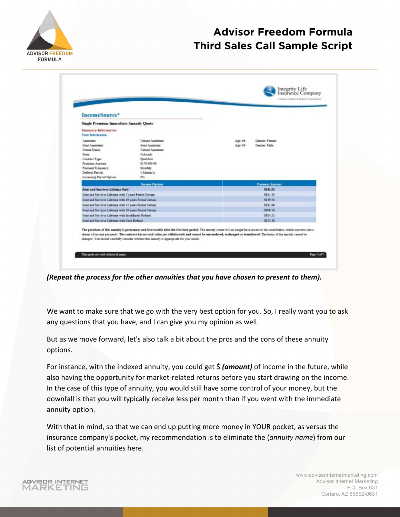

ADVISOR INTERNET

MARKETING

# **Advisor Freedom Formula Third Sales Call Sample Script**

| <b>IncomeSource</b> *                                     |                                              |         |                       |
|-----------------------------------------------------------|----------------------------------------------|---------|-----------------------|
| <b>Single Premium Immediate Annuity Quote</b>             |                                              |         |                       |
| Sammary Information<br>Your Information                   |                                              |         |                       |
| Associated:                                               | Valued Annuitset                             | Age: 68 | Gender: Fernale       |
| <b>Joint Ameniture</b>                                    | Joint Annultant                              | Age: 69 | Gender: Male          |
| Owner Name:                                               | Valued Annuitset                             |         |                       |
| State:<br>Contract Type:                                  | Colorado<br>Oualified                        |         |                       |
| Premium Amount                                            | \$170,000.00                                 |         |                       |
| Раушегі Равривсу:                                         | Monthly                                      |         |                       |
| Deferral Period:                                          | 1 Month(s)                                   |         |                       |
| <b>Intreasing Payout Option:</b>                          | <b>ONG</b>                                   |         |                       |
|                                                           | <b>Income Options</b>                        |         | <b>Payment Amount</b> |
| Joint and Survivor Lifetime Only                          |                                              |         | \$841.53              |
| Joint and Starviver Lifetime with 5 years Period Certain  |                                              | 5841.33 |                       |
| Joint and Survivor Lifetime with 10 years Period Certain. |                                              |         | \$839.50              |
| Joint and Survivor Lifetime with 15 years Period Certain  |                                              |         | \$831.86              |
| Joint and Survivor Lifetime with 20 years Period Certain  |                                              |         | \$809.78              |
| Joint and Survivor Lifetime with Installment Refined      |                                              |         | \$824.25              |
|                                                           | Joint and Survivor Lifetime with Cash Refund |         | \$522.30              |

*(Repeat the process for the other annuities that you have chosen to present to them).*

We want to make sure that we go with the very best option for you. So, I really want you to ask any questions that you have, and I can give you my opinion as well.

But as we move forward, let's also talk a bit about the pros and the cons of these annuity options.

For instance, with the indexed annuity, you could get \$ *(amount)* of income in the future, while also having the opportunity for market-related returns before you start drawing on the income. In the case of this type of annuity, you would still have some control of your money, but the downfall is that you will typically receive less per month than if you went with the immediate annuity option.

With that in mind, so that we can end up putting more money in YOUR pocket, as versus the insurance company's pocket, my recommendation is to eliminate the (*annuity name*) from our list of potential annuities here.

> www.advisorinternetmarketing.com Advisor Internet Marketing P.O. Box 631 Cortaro, AZ 85652-0631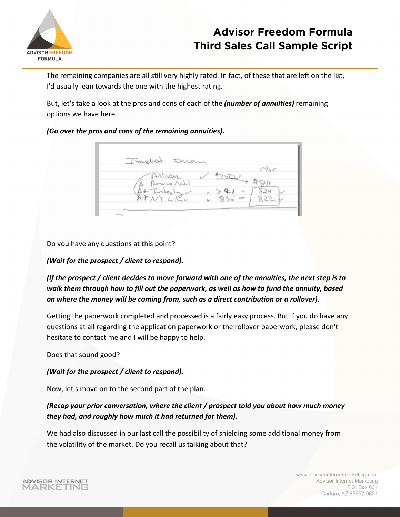

The remaining companies are all still very highly rated. In fact, of these that are left on the list, I'd usually lean towards the one with the highest rating.

But, let's take a look at the pros and cons of each of the *(number of annuities)* remaining options we have here.

### *(Go over the pros and cons of the remaining annuities).*

Timedoso Inca  $151c$ snanlf 824 827

Do you have any questions at this point?

### *(Wait for the prospect / client to respond).*

*(If the prospect / client decides to move forward with one of the annuities, the next step is to walk them through how to fill out the paperwork, as well as how to fund the annuity, based on where the money will be coming from, such as a direct contribution or a rollover)*.

Getting the paperwork completed and processed is a fairly easy process. But if you do have any questions at all regarding the application paperwork or the rollover paperwork, please don't hesitate to contact me and I will be happy to help.

Does that sound good?

### *(Wait for the prospect / client to respond).*

Now, let's move on to the second part of the plan.

### *(Recap your prior conversation, where the client / prospect told you about how much money they had, and roughly how much it had returned for them).*

We had also discussed in our last call the possibility of shielding some additional money from the volatility of the market. Do you recall us talking about that?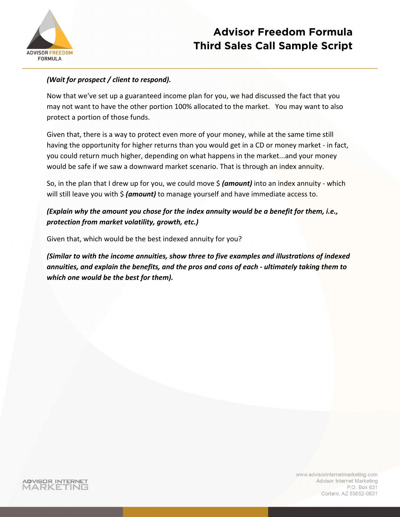

### *(Wait for prospect / client to respond).*

Now that we've set up a guaranteed income plan for you, we had discussed the fact that you may not want to have the other portion 100% allocated to the market. You may want to also protect a portion of those funds.

Given that, there is a way to protect even more of your money, while at the same time still having the opportunity for higher returns than you would get in a CD or money market - in fact, you could return much higher, depending on what happens in the market...and your money would be safe if we saw a downward market scenario. That is through an index annuity.

So, in the plan that I drew up for you, we could move \$ *(amount)* into an index annuity - which will still leave you with \$ *(amount)* to manage yourself and have immediate access to.

### *(Explain why the amount you chose for the index annuity would be a benefit for them, i.e., protection from market volatility, growth, etc.)*

Given that, which would be the best indexed annuity for you?

*(Similar to with the income annuities, show three to five examples and illustrations of indexed annuities, and explain the benefits, and the pros and cons of each - ultimately taking them to which one would be the best for them).*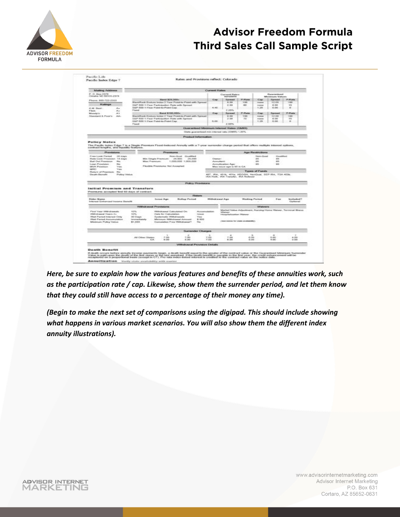

|                                                                                                                                                                                                                                                                                                                                                                                                         | Rates and Provisions reflect: Colorado                                    |                                                                                                                                |                                                                   |                                                                                                                                                                                      |                               |                                     |                                        |                                                                |  |
|---------------------------------------------------------------------------------------------------------------------------------------------------------------------------------------------------------------------------------------------------------------------------------------------------------------------------------------------------------------------------------------------------------|---------------------------------------------------------------------------|--------------------------------------------------------------------------------------------------------------------------------|-------------------------------------------------------------------|--------------------------------------------------------------------------------------------------------------------------------------------------------------------------------------|-------------------------------|-------------------------------------|----------------------------------------|----------------------------------------------------------------|--|
| Mailing Address                                                                                                                                                                                                                                                                                                                                                                                         |                                                                           |                                                                                                                                | Current Rates                                                     |                                                                                                                                                                                      |                               |                                     |                                        |                                                                |  |
| P. O. Bex 2378<br>Oesaha 10: 68103-2378                                                                                                                                                                                                                                                                                                                                                                 |                                                                           |                                                                                                                                |                                                                   | Carmerd Rates<br>econones                                                                                                                                                            |                               |                                     | Guaranteed<br>Minimum Values           |                                                                |  |
| Phone: 800-722-2333<br>Ratings<br>A.M. Best<br>A.<br>Aug.<br>Finds                                                                                                                                                                                                                                                                                                                                      | SAP 500 1-Year Point-to-Polet Cap<br><b>Figure</b>                        | Band \$25,000+<br>BlackRook Endura Index 2 Year Point is Feint with Spread<br>S&P 500 1-Year Participation Rate with Spread    | Gap<br>41.445                                                     | <b>Spraud</b><br>0:30<br>2.20<br>2.25%                                                                                                                                               | <b>PURING</b><br>100<br>-moti | Cap<br>mondate<br>money<br>1.25     | <b>Served</b><br>12.00<br>8.00<br>0.00 | P-Rallel<br>$+00$<br>100<br>$\bullet$                          |  |
| A/S<br>Month's:<br>Standard & Poor's<br><b>AAC</b>                                                                                                                                                                                                                                                                                                                                                      | SILP 600 1-Year Pylet-to Point Cap.<br>Pland                              | Band \$100,000+<br>BlackRook Endura Index 2 Year Point-its-Point with Spread<br>S&P 500 1-1 war Participation Rate with Spread | Cap<br>9,00                                                       | Spread<br>6.30<br>$3 - 0.08$<br>2.55%                                                                                                                                                | Fi-Rate<br>130<br>245         | Cap<br>mone<br><b>PUSAR</b><br>1,28 | Spread<br>12.00<br>8,00<br>0.00        | <b>P-Radia</b><br>1 KW3<br>95<br>$\cdots$                      |  |
|                                                                                                                                                                                                                                                                                                                                                                                                         |                                                                           |                                                                                                                                | Guaranteed Minimum Interest Rates (GMR)                           |                                                                                                                                                                                      |                               |                                     |                                        |                                                                |  |
|                                                                                                                                                                                                                                                                                                                                                                                                         |                                                                           |                                                                                                                                | State guaranteed min interest rate (OMR) 1.00%                    |                                                                                                                                                                                      |                               |                                     |                                        |                                                                |  |
|                                                                                                                                                                                                                                                                                                                                                                                                         |                                                                           |                                                                                                                                | <b>Product Information</b>                                        |                                                                                                                                                                                      |                               |                                     |                                        |                                                                |  |
| The Pacific Index Edge 7 is a Single Premium Flood-Indexed Annuity with a 7-year surrender change period that offers multiple interest options.<br>contract lengths, and liquidity features.<br>Provinkans                                                                                                                                                                                              |                                                                           | <b>Pressuma</b>                                                                                                                |                                                                   |                                                                                                                                                                                      |                               | <b>Age Restrictions</b>             |                                        |                                                                |  |
| Free Look Period<br><b>Non-Qual Qualified</b><br>20 Away<br>Rate Lock Provision 14 days<br>Min. Single Premium:<br>25,000<br>25,000<br><b>Ball Out Prevision</b><br><b>Dies</b><br>Max Promium:<br>1,000,000 1,000,000<br>Lean Provision<br><b>Pice</b><br>Flexible Francisms Not Accepted<br><b>MAR Province</b><br><b>View</b><br>SAMID<br><b>Yune</b><br><b>Rature of Premium</b><br><b>Distance</b> |                                                                           |                                                                                                                                |                                                                   | News-Cloud<br>Crostified<br>as.<br>sis.<br><b>Chemist</b><br>45<br>86<br>Ammultanit<br>Annullization Age:<br><b>GR</b><br>ion.<br>Max issue age is 85 is CA<br><b>Types of Funds</b> |                               |                                     |                                        |                                                                |  |
|                                                                                                                                                                                                                                                                                                                                                                                                         |                                                                           |                                                                                                                                |                                                                   | HA-Footh, IRA Transfer, IRA Rolleyer                                                                                                                                                 |                               |                                     |                                        |                                                                |  |
|                                                                                                                                                                                                                                                                                                                                                                                                         |                                                                           |                                                                                                                                | <b>Policy Previsions</b>                                          |                                                                                                                                                                                      |                               |                                     |                                        |                                                                |  |
|                                                                                                                                                                                                                                                                                                                                                                                                         |                                                                           |                                                                                                                                |                                                                   |                                                                                                                                                                                      |                               |                                     |                                        |                                                                |  |
| Elistics Wisms<br>Interest Enhanced Income Benefit                                                                                                                                                                                                                                                                                                                                                      |                                                                           | Rolling Period<br><b>Isolan Age</b>                                                                                            | Ridem<br>William bronzel Age                                      |                                                                                                                                                                                      | <b>Washing Period</b>         |                                     | Fee                                    | Immitted and 7<br>Optiensid                                    |  |
| Initial Promium and Transfers<br>Premarms accepted first 60 days of contract.<br>First Year Withdowsky<br>With close of Years 2+<br>Wait Penied Interest Crity<br>Walt Ferried Assumulation                                                                                                                                                                                                             | <b>Withdrawal Provisions</b><br>tons.<br>son.<br>30 Oasn<br>Investigately | Withshippeal Calculated On-<br>Date for Calculation<br><b>Dystematic Withdrawals</b><br>Minimum Withdrawal Amount              | <b>Accumulation</b><br><b>Science</b><br><b>Water</b><br>\$1,5000 | <b><i><u>Mitsuburgun</u></i></b><br>Hinsells/Instige: Waters<br>(Sales bender for state prostageting)                                                                                |                               | <b>Wildware</b>                     |                                        | Market Value Adjustment, Nursing Home Waiver, Terminal Illness |  |
| Missimum Policy Value                                                                                                                                                                                                                                                                                                                                                                                   | \$1,000                                                                   | Curriculation Free Withdrawal?                                                                                                 | Mar.                                                              |                                                                                                                                                                                      |                               |                                     |                                        |                                                                |  |
|                                                                                                                                                                                                                                                                                                                                                                                                         |                                                                           |                                                                                                                                | <b>Surrender Charges</b>                                          |                                                                                                                                                                                      |                               |                                     |                                        |                                                                |  |
|                                                                                                                                                                                                                                                                                                                                                                                                         | All Other States<br>CA.                                                   | 7.00<br>7.00<br>6.00<br>D.00                                                                                                   | 7.00<br>T.00                                                      | 7.06<br>6.00                                                                                                                                                                         | 0.00<br>5.05                  |                                     | 5.00<br>4.00                           | $+100$<br>3.00                                                 |  |
|                                                                                                                                                                                                                                                                                                                                                                                                         |                                                                           |                                                                                                                                | Withdrawal Provision Details                                      |                                                                                                                                                                                      |                               |                                     |                                        |                                                                |  |

*Here, be sure to explain how the various features and benefits of these annuities work, such as the participation rate / cap. Likewise, show them the surrender period, and let them know that they could still have access to a percentage of their money any time).*

*(Begin to make the next set of comparisons using the digipad. This should include showing what happens in various market scenarios. You will also show them the different index annuity illustrations).*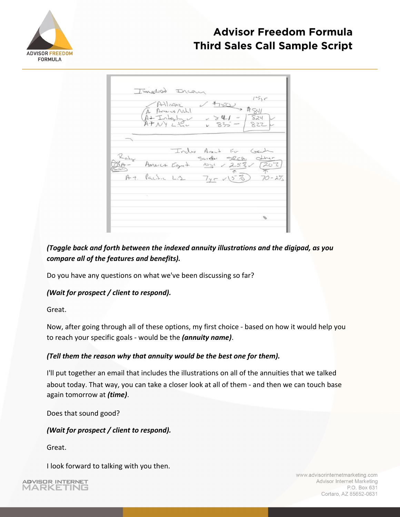

|               | Implied Ircan<br>$-1411$ $nm2$<br>$\nu$ there is the v<br>A America Not     |                   |
|---------------|-----------------------------------------------------------------------------|-------------------|
|               | $A+$ Interly $2$ $335 -$<br>$4832 -$                                        | 824<br>سا<br>8224 |
| Kaha<br>$RA-$ | Index Ames For Gash<br>Shider SPCA Office<br>America Egut 1011 / 2.52/ [202 |                   |
|               | $\gamma$<br>At Pacific Liz 745 V53 70-27                                    |                   |
|               |                                                                             |                   |

*(Toggle back and forth between the indexed annuity illustrations and the digipad, as you compare all of the features and benefits).* 

Do you have any questions on what we've been discussing so far?

### *(Wait for prospect / client to respond).*

Great.

Now, after going through all of these options, my first choice - based on how it would help you to reach your specific goals - would be the *(annuity name)* .

### *(Tell them the reason why that annuity would be the best one for them).*

I'll put together an email that includes the illustrations on all of the annuities that we talked about today. That way, you can take a closer look at all of them - and then we can touch base again tomorrow at *(time)* .

Does that sound good?

### *(Wait for prospect / client to respond).*

Great.

I look forward to talking with you then.